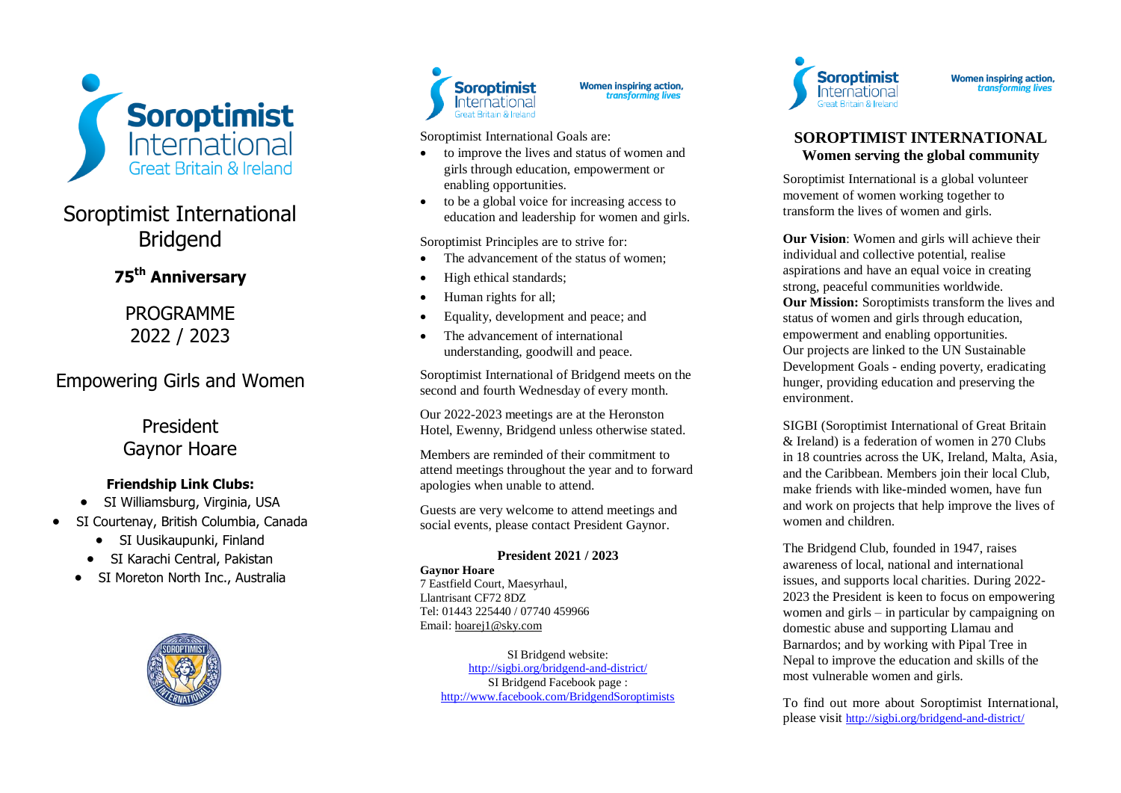

# Soroptimist International Bridgend

**75th Anniversary**

PROGRAMME 2022 / 2023

# Empowering Girls and Women

President Gaynor Hoare

### **Friendship Link Clubs:**

- SI Williamsburg, Virginia, USA
- SI Courtenay, British Columbia, Canada
	- SI Uusikaupunki, Finland
	- SI Karachi Central, Pakistan
	- SI Moreton North Inc., Australia





**Women inspiring action,**<br>*transforming lives* 

Soroptimist International Goals are :

- to improve the lives and status of women and girls through education, empowerment or enabling opportunities.
- to be a global voice for increasing access to education and leadership for women and girls.

Soroptimist Principles are to strive for :

- The advancement of the status of women;
- High ethical standards;
- Human rights for all;
- Equality, development and peace; and
- The advancement of international understanding, goodwill and peace.

Soroptimist International of Bridgend meets on the second and fourth Wednesday of every month.

Our 2022 -2023 meetings are at the Heronston Hotel, Ewenny, Bridgend unless otherwise stated.

Members are reminded of their commitment to attend meetings throughout the year and to forward apologies when unable to attend.

Guests are very welcome to attend meetings and social events , please contact President Gaynor .

### **President 20 21 / 20 2 3**

### **Gaynor Hoare**  7 Eastfield Court, Maesyrhaul, Llantrisant CF72 8DZ Tel: 01443 225440 / 07740 459966 Email[: hoarej1@sky.com](mailto:hoarej1@sky.com)

SI Bridgend website: [http://sigbi.org/bridgend](http://sigbi.org/bridgend-and-district/)-and-district/ SI Bridgend Facebook page : <http://www.facebook.com/BridgendSoroptimists>



**Women inspiring action,** transforming lives

### **SOROPTIMIST INTERNATIONAL Women serving the global community**

Soroptimist International is a global volunteer movement of women working together to transform the lives of women and girls.

**Our Vision**: Women and girls will achieve their individual and collective potential, realise aspirations and have an equal voice in creating strong, peaceful communities worldwide. **Our Mission:** Soroptimists transform the lives and status of women and girls through education, empowerment and enabling opportunities. Our projects are linked to the UN Sustainable Development Goals - ending poverty, eradicating hunger, providing education and preserving the environment.

SIGBI (Soroptimist International of Great Britain & Ireland) is a federation of women in 27 0 Clubs in 18 countries across the UK, Ireland, Malta, Asia , and the Caribbean. Members join their local Club, make friends with like -minded women, have fun and work on projects that help improve the lives of women and children .

The Bridgend Club , founded in 1947 , raises awareness of local, national and international issues, and supports local charities. During 2022-20 2 3 the President is keen to focus on empowering women and girls – in particular by campaigning on domestic abuse and supporting Llamau and Barnardos; and by working with Pipal Tree in Nepal to improve the education and skills of the most vulnerable women and girls.

To find out more about Soroptimist International, please visit [http://sigbi.org/bridgend](http://sigbi.org/bridgend-and-district/)-and-district/